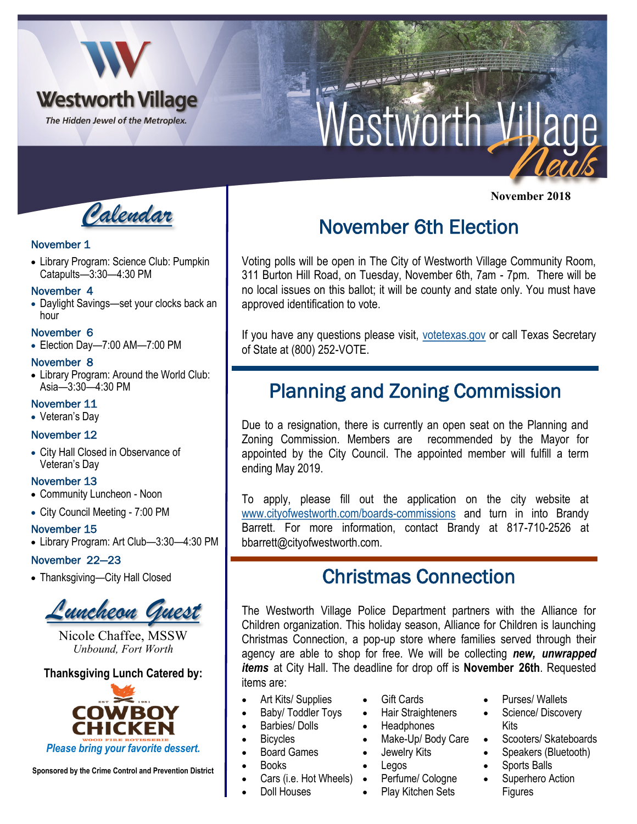

# Nestworth Village

 **November 2018**

*Calendar*

## November 1

• Library Program: Science Club: Pumpkin Catapults—3:30—4:30 PM

#### November 4

• Daylight Savings—set your clocks back an hour

## November 6

• Election Day—7:00 AM—7:00 PM

#### November 8

• Library Program: Around the World Club: Asia—3:30—4:30 PM

## November 11

• Veteran's Day

## November 12

• City Hall Closed in Observance of Veteran's Day

## November 13

- Community Luncheon Noon
- City Council Meeting 7:00 PM

#### November 15

• Library Program: Art Club—3:30—4:30 PM

## November 22—23

• Thanksgiving—City Hall Closed



Nicole Chaffee, MSSW *Unbound, Fort Worth*

## **Thanksgiving Lunch Catered by:**



**Sponsored by the Crime Control and Prevention District**

# November 6th Election

Voting polls will be open in The City of Westworth Village Community Room, 311 Burton Hill Road, on Tuesday, November 6th, 7am - 7pm. There will be no local issues on this ballot; it will be county and state only. You must have approved identification to vote.

If you have any questions please visit, <votetexas.gov> or call Texas Secretary of State at (800) 252-VOTE.

## Planning and Zoning Commission

Due to a resignation, there is currently an open seat on the Planning and Zoning Commission. Members are recommended by the Mayor for appointed by the City Council. The appointed member will fulfill a term ending May 2019.

To apply, please fill out the application on the city website at [www.cityofwestworth.com/boards-commissions](mailto:www.cityofwestworth.com/boards-commissions) and turn in into Brandy Barrett. For more information, contact Brandy at 817-710-2526 at bbarrett@cityofwestworth.com.

## Christmas Connection

The Westworth Village Police Department partners with the Alliance for Children organization. This holiday season, Alliance for Children is launching Christmas Connection, a pop-up store where families served through their agency are able to shop for free. We will be collecting *new, unwrapped items* at City Hall. The deadline for drop off is **November 26th**. Requested items are:

- Art Kits/ Supplies
- Baby/ Toddler Toys
- Barbies/ Dolls
- Bicycles
- Board Games
- Books
- Cars (i.e. Hot Wheels)
- Doll Houses
- Gift Cards
- Hair Straighteners
- **Headphones**
- Make-Up/ Body Care
- Jewelry Kits
- Legos
	- Perfume/ Cologne
	- Play Kitchen Sets
- Purses/ Wallets
- Science/ Discovery Kits
- Scooters/ Skateboards
- Speakers (Bluetooth)
- Sports Balls
- Superhero Action Figures